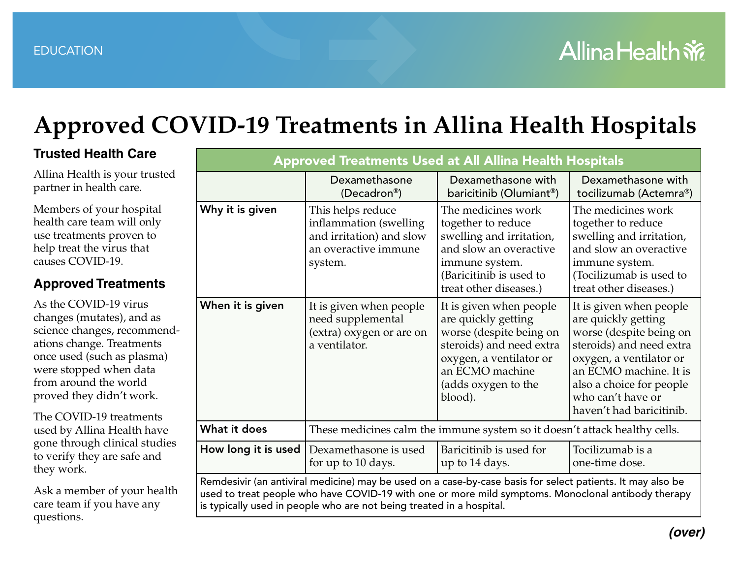## **Approved COVID-19 Treatments in Allina Health Hospitals**

is typically used in people who are not being treated in a hospital.

### **Trusted Health Care**

Allina Health is your trusted partner in health care.

Members of your hospital health care team will only use treatments proven to help treat the virus that causes COVID-19.

### **Approved Treatments**

As the COVID-19 virus changes (mutates), and as science changes, recommendations change. Treatments once used (such as plasma) were stopped when data from around the world proved they didn't work.

The COVID-19 treatments used by Allina Health have gone through clinical studies to verify they are safe and they work.

Ask a member of your health care team if you have any questions.

| <b>Approved Treatments Used at All Allina Health Hospitals</b> |                                                                                                            |                                                                                                                                                                                                                  |                                                                                                                                                                                                                                         |  |
|----------------------------------------------------------------|------------------------------------------------------------------------------------------------------------|------------------------------------------------------------------------------------------------------------------------------------------------------------------------------------------------------------------|-----------------------------------------------------------------------------------------------------------------------------------------------------------------------------------------------------------------------------------------|--|
|                                                                | Dexamethasone<br>(Decadron®)                                                                               | Dexamethasone with<br>baricitinib (Olumiant®)                                                                                                                                                                    | Dexamethasone with<br>tocilizumab (Actemra®)                                                                                                                                                                                            |  |
| Why it is given                                                | This helps reduce<br>inflammation (swelling<br>and irritation) and slow<br>an overactive immune<br>system. | The medicines work<br>together to reduce<br>swelling and irritation,<br>and slow an overactive<br>immune system.<br>(Baricitinib is used to<br>treat other diseases.)                                            | The medicines work<br>together to reduce<br>swelling and irritation,<br>and slow an overactive<br>immune system.<br>(Tocilizumab is used to<br>treat other diseases.)                                                                   |  |
| When it is given                                               | It is given when people<br>need supplemental<br>(extra) oxygen or are on<br>a ventilator.                  | It is given when people<br>are quickly getting<br>worse (despite being on<br>steroids) and need extra<br>oxygen, a ventilator or<br>an ECMO machine<br>(adds oxygen to the<br>blood).                            | It is given when people<br>are quickly getting<br>worse (despite being on<br>steroids) and need extra<br>oxygen, a ventilator or<br>an ECMO machine. It is<br>also a choice for people<br>who can't have or<br>haven't had baricitinib. |  |
| What it does                                                   | These medicines calm the immune system so it doesn't attack healthy cells.                                 |                                                                                                                                                                                                                  |                                                                                                                                                                                                                                         |  |
| How long it is used $ $                                        | Dexamethasone is used<br>for up to 10 days.                                                                | Baricitinib is used for<br>up to 14 days.                                                                                                                                                                        | Tocilizumab is a<br>one-time dose.                                                                                                                                                                                                      |  |
|                                                                |                                                                                                            | Remdesivir (an antiviral medicine) may be used on a case-by-case basis for select patients. It may also be<br>used to treat people who have COVID-19 with one or more mild symptoms. Monoclonal antibody therapy |                                                                                                                                                                                                                                         |  |